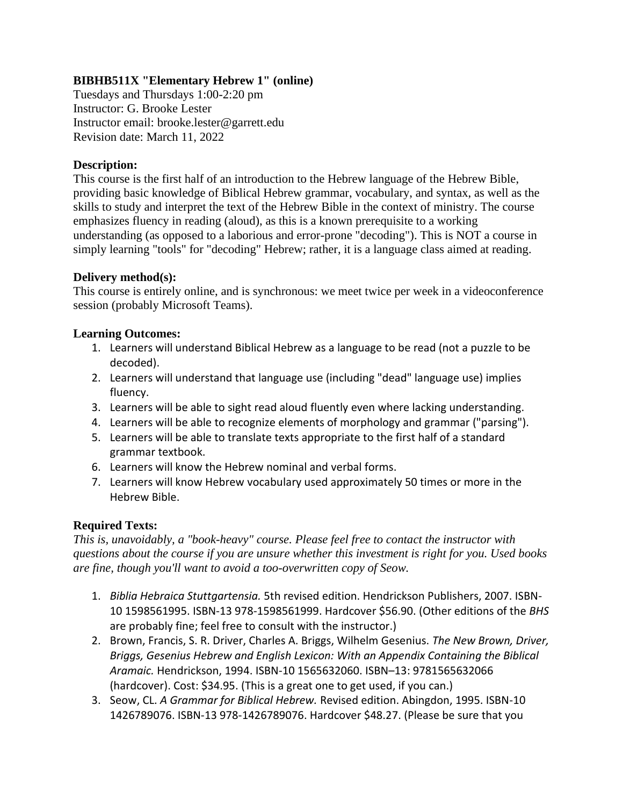# **BIBHB511X "Elementary Hebrew 1" (online)**

Tuesdays and Thursdays 1:00-2:20 pm Instructor: G. Brooke Lester Instructor email: brooke.lester@garrett.edu Revision date: March 11, 2022

# **Description:**

This course is the first half of an introduction to the Hebrew language of the Hebrew Bible, providing basic knowledge of Biblical Hebrew grammar, vocabulary, and syntax, as well as the skills to study and interpret the text of the Hebrew Bible in the context of ministry. The course emphasizes fluency in reading (aloud), as this is a known prerequisite to a working understanding (as opposed to a laborious and error-prone "decoding"). This is NOT a course in simply learning "tools" for "decoding" Hebrew; rather, it is a language class aimed at reading.

# **Delivery method(s):**

This course is entirely online, and is synchronous: we meet twice per week in a videoconference session (probably Microsoft Teams).

### **Learning Outcomes:**

- 1. Learners will understand Biblical Hebrew as a language to be read (not a puzzle to be decoded).
- 2. Learners will understand that language use (including "dead" language use) implies fluency.
- 3. Learners will be able to sight read aloud fluently even where lacking understanding.
- 4. Learners will be able to recognize elements of morphology and grammar ("parsing").
- 5. Learners will be able to translate texts appropriate to the first half of a standard grammar textbook.
- 6. Learners will know the Hebrew nominal and verbal forms.
- 7. Learners will know Hebrew vocabulary used approximately 50 times or more in the Hebrew Bible.

### **Required Texts:**

*This is, unavoidably, a "book-heavy" course. Please feel free to contact the instructor with questions about the course if you are unsure whether this investment is right for you. Used books are fine, though you'll want to avoid a too-overwritten copy of Seow.*

- 1. *Biblia Hebraica Stuttgartensia.* 5th revised edition. Hendrickson Publishers, 2007. ISBN-10 1598561995. ISBN-13 978-1598561999. Hardcover \$56.90. (Other editions of the *BHS* are probably fine; feel free to consult with the instructor.)
- 2. Brown, Francis, S. R. Driver, Charles A. Briggs, Wilhelm Gesenius. *The New Brown, Driver, Briggs, Gesenius Hebrew and English Lexicon: With an Appendix Containing the Biblical Aramaic.* Hendrickson, 1994. ISBN-10 1565632060. ISBN–13: 9781565632066 (hardcover). Cost: \$34.95. (This is a great one to get used, if you can.)
- 3. Seow, CL. *A Grammar for Biblical Hebrew.* Revised edition. Abingdon, 1995. ISBN-10 1426789076. ISBN-13 978-1426789076. Hardcover \$48.27. (Please be sure that you